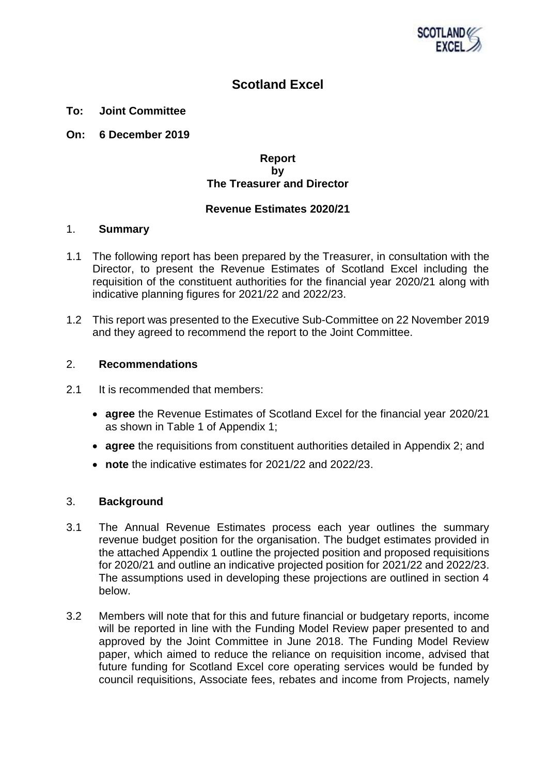

# **Scotland Excel**

- **To: Joint Committee**
- **On: 6 December 2019**

## **Report by The Treasurer and Director**

## **Revenue Estimates 2020/21**

## 1. **Summary**

- 1.1 The following report has been prepared by the Treasurer, in consultation with the Director, to present the Revenue Estimates of Scotland Excel including the requisition of the constituent authorities for the financial year 2020/21 along with indicative planning figures for 2021/22 and 2022/23.
- 1.2 This report was presented to the Executive Sub-Committee on 22 November 2019 and they agreed to recommend the report to the Joint Committee.

## 2. **Recommendations**

- 2.1 It is recommended that members:
	- **agree** the Revenue Estimates of Scotland Excel for the financial year 2020/21 as shown in Table 1 of Appendix 1;
	- **agree** the requisitions from constituent authorities detailed in Appendix 2; and
	- **note** the indicative estimates for 2021/22 and 2022/23.

## 3. **Background**

- 3.1 The Annual Revenue Estimates process each year outlines the summary revenue budget position for the organisation. The budget estimates provided in the attached Appendix 1 outline the projected position and proposed requisitions for 2020/21 and outline an indicative projected position for 2021/22 and 2022/23. The assumptions used in developing these projections are outlined in section 4 below.
- 3.2 Members will note that for this and future financial or budgetary reports, income will be reported in line with the Funding Model Review paper presented to and approved by the Joint Committee in June 2018. The Funding Model Review paper, which aimed to reduce the reliance on requisition income, advised that future funding for Scotland Excel core operating services would be funded by council requisitions, Associate fees, rebates and income from Projects, namely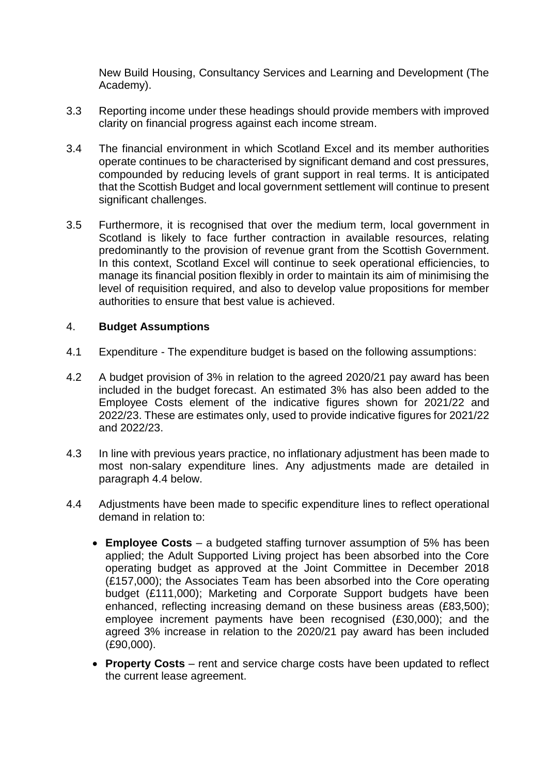New Build Housing, Consultancy Services and Learning and Development (The Academy).

- 3.3 Reporting income under these headings should provide members with improved clarity on financial progress against each income stream.
- 3.4 The financial environment in which Scotland Excel and its member authorities operate continues to be characterised by significant demand and cost pressures, compounded by reducing levels of grant support in real terms. It is anticipated that the Scottish Budget and local government settlement will continue to present significant challenges.
- 3.5 Furthermore, it is recognised that over the medium term, local government in Scotland is likely to face further contraction in available resources, relating predominantly to the provision of revenue grant from the Scottish Government. In this context, Scotland Excel will continue to seek operational efficiencies, to manage its financial position flexibly in order to maintain its aim of minimising the level of requisition required, and also to develop value propositions for member authorities to ensure that best value is achieved.

# 4. **Budget Assumptions**

- 4.1 Expenditure The expenditure budget is based on the following assumptions:
- 4.2 A budget provision of 3% in relation to the agreed 2020/21 pay award has been included in the budget forecast. An estimated 3% has also been added to the Employee Costs element of the indicative figures shown for 2021/22 and 2022/23. These are estimates only, used to provide indicative figures for 2021/22 and 2022/23.
- 4.3 In line with previous years practice, no inflationary adjustment has been made to most non-salary expenditure lines. Any adjustments made are detailed in paragraph 4.4 below.
- 4.4 Adjustments have been made to specific expenditure lines to reflect operational demand in relation to:
	- **Employee Costs** a budgeted staffing turnover assumption of 5% has been applied; the Adult Supported Living project has been absorbed into the Core operating budget as approved at the Joint Committee in December 2018 (£157,000); the Associates Team has been absorbed into the Core operating budget (£111,000); Marketing and Corporate Support budgets have been enhanced, reflecting increasing demand on these business areas (£83,500); employee increment payments have been recognised (£30,000); and the agreed 3% increase in relation to the 2020/21 pay award has been included (£90,000).
	- **Property Costs** rent and service charge costs have been updated to reflect the current lease agreement.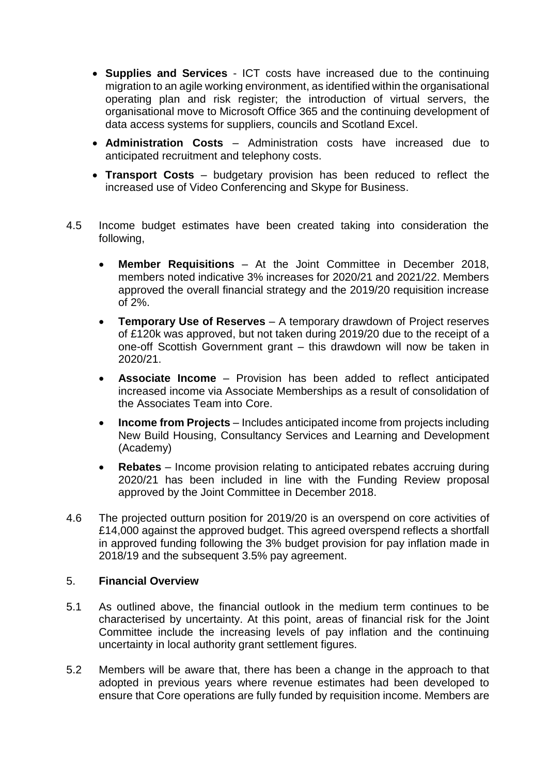- **Supplies and Services** ICT costs have increased due to the continuing migration to an agile working environment, as identified within the organisational operating plan and risk register; the introduction of virtual servers, the organisational move to Microsoft Office 365 and the continuing development of data access systems for suppliers, councils and Scotland Excel.
- **Administration Costs** Administration costs have increased due to anticipated recruitment and telephony costs.
- **Transport Costs** budgetary provision has been reduced to reflect the increased use of Video Conferencing and Skype for Business.
- 4.5 Income budget estimates have been created taking into consideration the following,
	- **Member Requisitions** At the Joint Committee in December 2018, members noted indicative 3% increases for 2020/21 and 2021/22. Members approved the overall financial strategy and the 2019/20 requisition increase of 2%.
	- **Temporary Use of Reserves** A temporary drawdown of Project reserves of £120k was approved, but not taken during 2019/20 due to the receipt of a one-off Scottish Government grant – this drawdown will now be taken in 2020/21.
	- **Associate Income** Provision has been added to reflect anticipated increased income via Associate Memberships as a result of consolidation of the Associates Team into Core.
	- **Income from Projects** Includes anticipated income from projects including New Build Housing, Consultancy Services and Learning and Development (Academy)
	- **Rebates** Income provision relating to anticipated rebates accruing during 2020/21 has been included in line with the Funding Review proposal approved by the Joint Committee in December 2018.
- 4.6 The projected outturn position for 2019/20 is an overspend on core activities of £14,000 against the approved budget. This agreed overspend reflects a shortfall in approved funding following the 3% budget provision for pay inflation made in 2018/19 and the subsequent 3.5% pay agreement.

# 5. **Financial Overview**

- 5.1 As outlined above, the financial outlook in the medium term continues to be characterised by uncertainty. At this point, areas of financial risk for the Joint Committee include the increasing levels of pay inflation and the continuing uncertainty in local authority grant settlement figures.
- 5.2 Members will be aware that, there has been a change in the approach to that adopted in previous years where revenue estimates had been developed to ensure that Core operations are fully funded by requisition income. Members are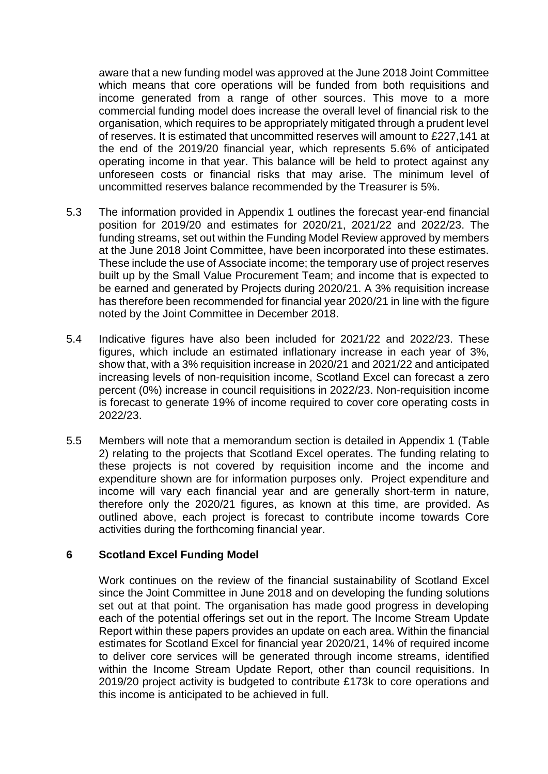aware that a new funding model was approved at the June 2018 Joint Committee which means that core operations will be funded from both requisitions and income generated from a range of other sources. This move to a more commercial funding model does increase the overall level of financial risk to the organisation, which requires to be appropriately mitigated through a prudent level of reserves. It is estimated that uncommitted reserves will amount to £227,141 at the end of the 2019/20 financial year, which represents 5.6% of anticipated operating income in that year. This balance will be held to protect against any unforeseen costs or financial risks that may arise. The minimum level of uncommitted reserves balance recommended by the Treasurer is 5%.

- 5.3 The information provided in Appendix 1 outlines the forecast year-end financial position for 2019/20 and estimates for 2020/21, 2021/22 and 2022/23. The funding streams, set out within the Funding Model Review approved by members at the June 2018 Joint Committee, have been incorporated into these estimates. These include the use of Associate income; the temporary use of project reserves built up by the Small Value Procurement Team; and income that is expected to be earned and generated by Projects during 2020/21. A 3% requisition increase has therefore been recommended for financial year 2020/21 in line with the figure noted by the Joint Committee in December 2018.
- 5.4 Indicative figures have also been included for 2021/22 and 2022/23. These figures, which include an estimated inflationary increase in each year of 3%, show that, with a 3% requisition increase in 2020/21 and 2021/22 and anticipated increasing levels of non-requisition income, Scotland Excel can forecast a zero percent (0%) increase in council requisitions in 2022/23. Non-requisition income is forecast to generate 19% of income required to cover core operating costs in 2022/23.
- 5.5 Members will note that a memorandum section is detailed in Appendix 1 (Table 2) relating to the projects that Scotland Excel operates. The funding relating to these projects is not covered by requisition income and the income and expenditure shown are for information purposes only. Project expenditure and income will vary each financial year and are generally short-term in nature, therefore only the 2020/21 figures, as known at this time, are provided. As outlined above, each project is forecast to contribute income towards Core activities during the forthcoming financial year.

# **6 Scotland Excel Funding Model**

Work continues on the review of the financial sustainability of Scotland Excel since the Joint Committee in June 2018 and on developing the funding solutions set out at that point. The organisation has made good progress in developing each of the potential offerings set out in the report. The Income Stream Update Report within these papers provides an update on each area. Within the financial estimates for Scotland Excel for financial year 2020/21, 14% of required income to deliver core services will be generated through income streams, identified within the Income Stream Update Report, other than council requisitions. In 2019/20 project activity is budgeted to contribute £173k to core operations and this income is anticipated to be achieved in full.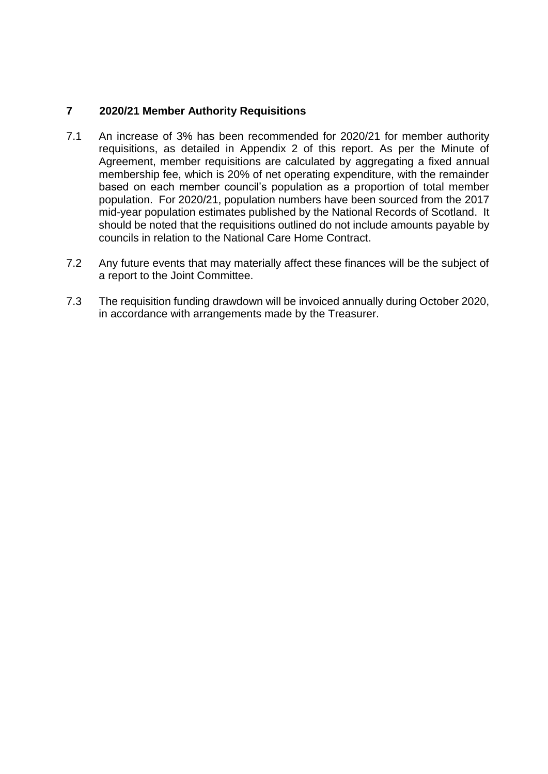# **7 2020/21 Member Authority Requisitions**

- 7.1 An increase of 3% has been recommended for 2020/21 for member authority requisitions, as detailed in Appendix 2 of this report. As per the Minute of Agreement, member requisitions are calculated by aggregating a fixed annual membership fee, which is 20% of net operating expenditure, with the remainder based on each member council's population as a proportion of total member population. For 2020/21, population numbers have been sourced from the 2017 mid-year population estimates published by the National Records of Scotland. It should be noted that the requisitions outlined do not include amounts payable by councils in relation to the National Care Home Contract.
- 7.2 Any future events that may materially affect these finances will be the subject of a report to the Joint Committee.
- 7.3 The requisition funding drawdown will be invoiced annually during October 2020, in accordance with arrangements made by the Treasurer.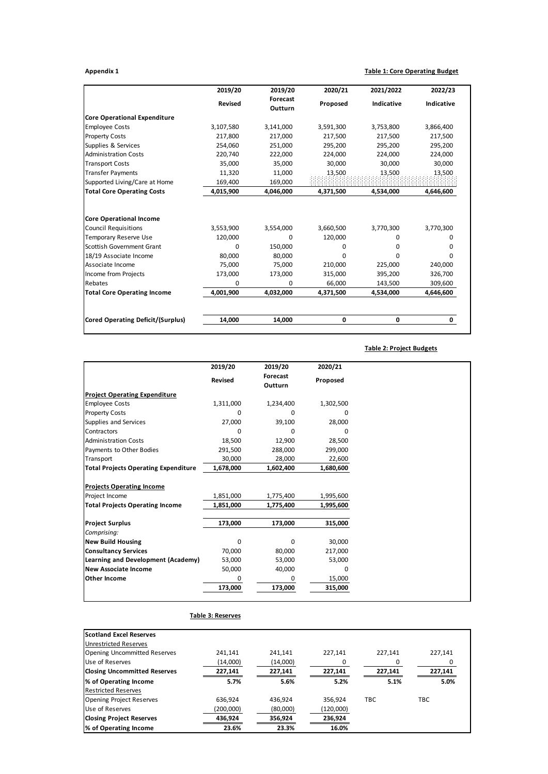#### **Appendix 1 Table 1: Core Operating Budget**

|                                          | 2019/20        | 2019/20             | 2020/21   | 2021/2022  | 2022/23      |  |
|------------------------------------------|----------------|---------------------|-----------|------------|--------------|--|
|                                          | <b>Revised</b> | Forecast<br>Outturn | Proposed  | Indicative | Indicative   |  |
| <b>Core Operational Expenditure</b>      |                |                     |           |            |              |  |
| <b>Employee Costs</b>                    | 3,107,580      | 3,141,000           | 3,591,300 | 3,753,800  | 3,866,400    |  |
| <b>Property Costs</b>                    | 217,800        | 217,000             | 217,500   | 217,500    | 217,500      |  |
| Supplies & Services                      | 254,060        | 251,000             | 295,200   | 295,200    | 295,200      |  |
| <b>Administration Costs</b>              | 220,740        | 222,000             | 224,000   | 224,000    | 224,000      |  |
| <b>Transport Costs</b>                   | 35.000         | 35,000              | 30.000    | 30,000     | 30,000       |  |
| <b>Transfer Payments</b>                 | 11,320         | 11,000              | 13,500    | 13,500     | 13,500       |  |
| Supported Living/Care at Home            | 169,400        | 169,000             |           |            |              |  |
| <b>Total Core Operating Costs</b>        | 4,015,900      | 4,046,000           | 4,371,500 | 4,534,000  | 4,646,600    |  |
| <b>Core Operational Income</b>           |                |                     |           |            |              |  |
|                                          |                |                     |           |            |              |  |
| <b>Council Requisitions</b>              | 3,553,900      | 3,554,000           | 3,660,500 | 3,770,300  | 3,770,300    |  |
| <b>Temporary Reserve Use</b>             | 120,000        | 0                   | 120,000   | 0          | 0            |  |
| Scottish Government Grant                | 0              | 150,000             | 0         | O          | 0            |  |
| 18/19 Associate Income                   | 80,000         | 80,000              | 0         | O          | <sup>0</sup> |  |
| Associate Income                         | 75,000         | 75,000              | 210,000   | 225,000    | 240,000      |  |
| Income from Projects                     | 173,000        | 173,000             | 315,000   | 395,200    | 326,700      |  |
| Rebates                                  | 0              | 0                   | 66,000    | 143,500    | 309,600      |  |
| <b>Total Core Operating Income</b>       | 4,001,900      | 4,032,000           | 4,371,500 | 4,534,000  | 4,646,600    |  |
| <b>Cored Operating Deficit/(Surplus)</b> | 14,000         | 14,000              | 0         | 0          | 0            |  |

#### **Table 2: Project Budgets**

|                                             | 2019/20   | 2019/20             | 2020/21      |
|---------------------------------------------|-----------|---------------------|--------------|
|                                             | Revised   | Forecast<br>Outturn | Proposed     |
| <b>Project Operating Expenditure</b>        |           |                     |              |
| <b>Employee Costs</b>                       | 1,311,000 | 1,234,400           | 1,302,500    |
| <b>Property Costs</b>                       | 0         | <sup>0</sup>        | o            |
| Supplies and Services                       | 27,000    | 39,100              | 28,000       |
| Contractors                                 | 0         | 0                   | <sup>0</sup> |
| <b>Administration Costs</b>                 | 18,500    | 12,900              | 28,500       |
| Payments to Other Bodies                    | 291,500   | 288,000             | 299,000      |
| Transport                                   | 30,000    | 28,000              | 22,600       |
| <b>Total Projects Operating Expenditure</b> | 1,678,000 | 1,602,400           | 1,680,600    |
| <b>Projects Operating Income</b>            |           |                     |              |
| Project Income                              | 1,851,000 | 1,775,400           | 1,995,600    |
| <b>Total Projects Operating Income</b>      | 1,851,000 | 1,775,400           | 1,995,600    |
| <b>Project Surplus</b>                      | 173,000   | 173,000             | 315,000      |
| Comprising:                                 |           |                     |              |
| <b>New Build Housing</b>                    | 0         | $\Omega$            | 30,000       |
| <b>Consultancy Services</b>                 | 70,000    | 80,000              | 217,000      |
| Learning and Development (Academy)          | 53,000    | 53,000              | 53,000       |
| <b>New Associate Income</b>                 | 50,000    | 40,000              | 0            |
| <b>Other Income</b>                         | 0         | 0                   | 15,000       |
|                                             | 173,000   | 173,000             | 315,000      |
|                                             |           |                     |              |

#### **Table 3: Reserves Scotland Excel Reserves** Unrestricted Reserves Opening Uncommitted Reserves 241,141 241,141 227,141 227,141 227,141 227,141 227,141 227,141 Use of Reserves  $\frac{(14,000)}{227,141}$   $\frac{(14,000)}{227,141}$   $\frac{(14,000)}{227,141}$   $\frac{0}{227,141}$   $\frac{0}{227,141}$   $\frac{0}{227,141}$ **Closing Uncommitted Reserves 227,141 227,141 227,141 227,141 227,141 % of Operating Income 5.7% 5.6% 5.2% 5.1% 5.0%** Restricted Reserves Opening Project Reserves 636,924 436,924 356,924 TBC<br>Use of Reserves (200,000) (80,000) (120,000) Use of Reserves (200,000) (80,000) (120,000)<br>Closing Project Reserves (200,000) (120,000) (130,024 (130,024) **Closing Project Reserves 436,924 356,924 236,924**

**% of Operating Income 23.6% 23.3% 16.0%**